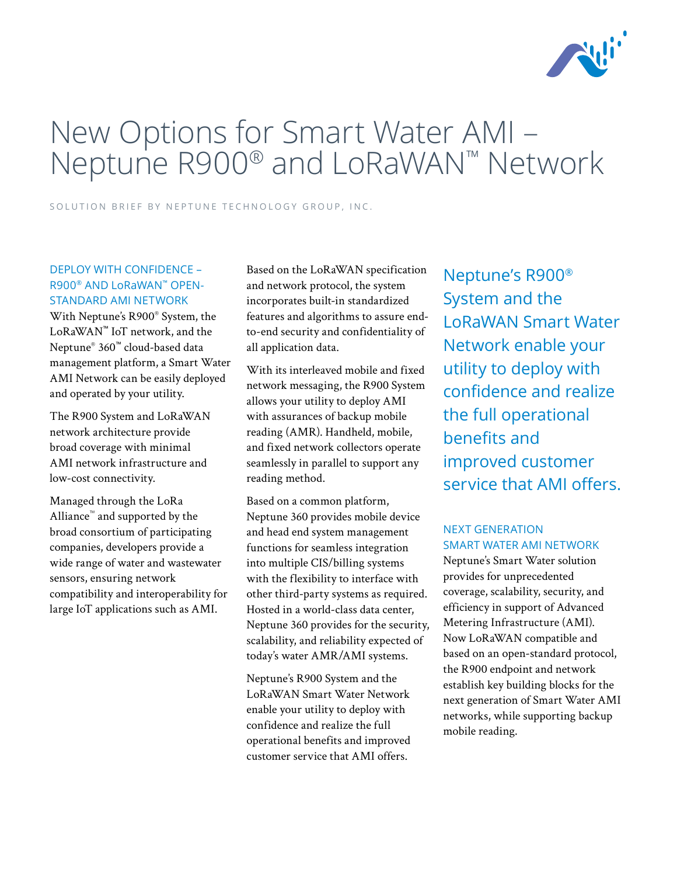

# New Options for Smart Water AMI – Neptune R900® and LoRaWAN™ Network

SOLUTION BRIEF BY NEPTUNE TECHNOLOGY GROUP, INC.

# DEPLOY WITH CONFIDENCE – R900® AND LoRaWAN™ OPEN-STANDARD AMI NETWORK

With Neptune's R900® System, the LoRaWAN™ IoT network, and the Neptune® 360™ cloud-based data management platform, a Smart Water AMI Network can be easily deployed and operated by your utility.

The R900 System and LoRaWAN network architecture provide broad coverage with minimal AMI network infrastructure and low-cost connectivity.

Managed through the LoRa Alliance™ and supported by the broad consortium of participating companies, developers provide a wide range of water and wastewater sensors, ensuring network compatibility and interoperability for large IoT applications such as AMI.

Based on the LoRaWAN specification and network protocol, the system incorporates built-in standardized features and algorithms to assure endto-end security and confidentiality of all application data.

With its interleaved mobile and fixed network messaging, the R900 System allows your utility to deploy AMI with assurances of backup mobile reading (AMR). Handheld, mobile, and fixed network collectors operate seamlessly in parallel to support any reading method.

Based on a common platform, Neptune 360 provides mobile device and head end system management functions for seamless integration into multiple CIS/billing systems with the flexibility to interface with other third-party systems as required. Hosted in a world-class data center, Neptune 360 provides for the security, scalability, and reliability expected of today's water AMR/AMI systems.

Neptune's R900 System and the LoRaWAN Smart Water Network enable your utility to deploy with confidence and realize the full operational benefits and improved customer service that AMI offers.

Neptune's R900® System and the LoRaWAN Smart Water Network enable your utility to deploy with confidence and realize the full operational benefits and improved customer service that AMI offers.

# NEXT GENERATION SMART WATER AMI NETWORK

Neptune's Smart Water solution provides for unprecedented coverage, scalability, security, and efficiency in support of Advanced Metering Infrastructure (AMI). Now LoRaWAN compatible and based on an open-standard protocol, the R900 endpoint and network establish key building blocks for the next generation of Smart Water AMI networks, while supporting backup mobile reading.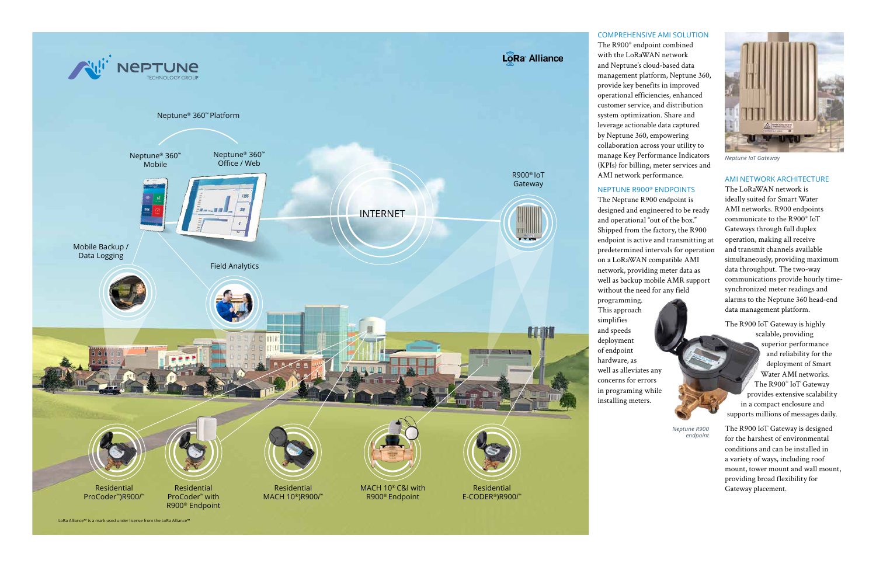### COMPREHENSIVE AMI SOLUTION

The R900® endpoint combined with the LoRaWAN network and Neptune's cloud-based data management platform, Neptune 360, provide key benefits in improved operational efficiencies, enhanced customer service, and distribution system optimization. Share and leverage actionable data captured by Neptune 360, empowering collaboration across your utility to manage Key Performance Indicators (KPIs) for billing, meter services and AMI network performance.

# NEPTUNE R900® ENDPOINTS

The Neptune R900 endpoint is designed and engineered to be ready and operational "out of the box." Shipped from the factory, the R900 endpoint is active and transmitting at predetermined intervals for operation on a LoRaWAN compatible AMI network, providing meter data as well as backup mobile AMR support without the need for any field



#### AMI NETWORK ARCHITECTURE

The LoRaWAN network is ideally suited for Smart Water AMI networks. R900 endpoints communicate to the R900® IoT Gateways through full duplex operation, making all receive and transmit channels available simultaneously, providing maximum data throughput. The two-way communications provide hourly timesynchronized meter readings and alarms to the Neptune 360 head-end data management platform.

The R900 IoT Gateway is highly scalable, providing superior performance and reliability for the deployment of Smart Water AMI networks. The R900® IoT Gateway provides extensive scalability in a compact enclosure and supports millions of messages daily.

The R900 IoT Gateway is designed for the harshest of environmental conditions and can be installed in a variety of ways, including roof mount, tower mount and wall mount, providing broad flexibility for Gateway placement.

*Neptune R900 endpoint*



*Neptune IoT Gateway*